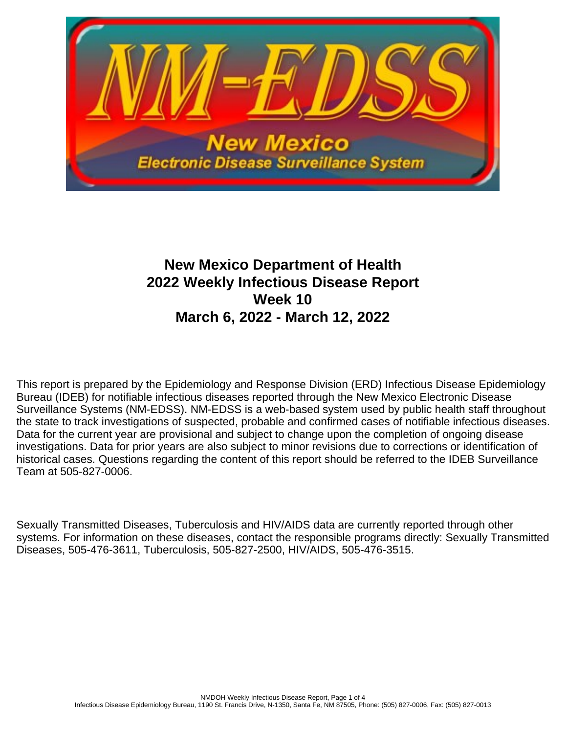

# **New Mexico Department of Health 2022 Weekly Infectious Disease Report Week 10 March 6, 2022 - March 12, 2022**

This report is prepared by the Epidemiology and Response Division (ERD) Infectious Disease Epidemiology Bureau (IDEB) for notifiable infectious diseases reported through the New Mexico Electronic Disease Surveillance Systems (NM-EDSS). NM-EDSS is a web-based system used by public health staff throughout the state to track investigations of suspected, probable and confirmed cases of notifiable infectious diseases. Data for the current year are provisional and subject to change upon the completion of ongoing disease investigations. Data for prior years are also subject to minor revisions due to corrections or identification of historical cases. Questions regarding the content of this report should be referred to the IDEB Surveillance Team at 505-827-0006.

Sexually Transmitted Diseases, Tuberculosis and HIV/AIDS data are currently reported through other systems. For information on these diseases, contact the responsible programs directly: Sexually Transmitted Diseases, 505-476-3611, Tuberculosis, 505-827-2500, HIV/AIDS, 505-476-3515.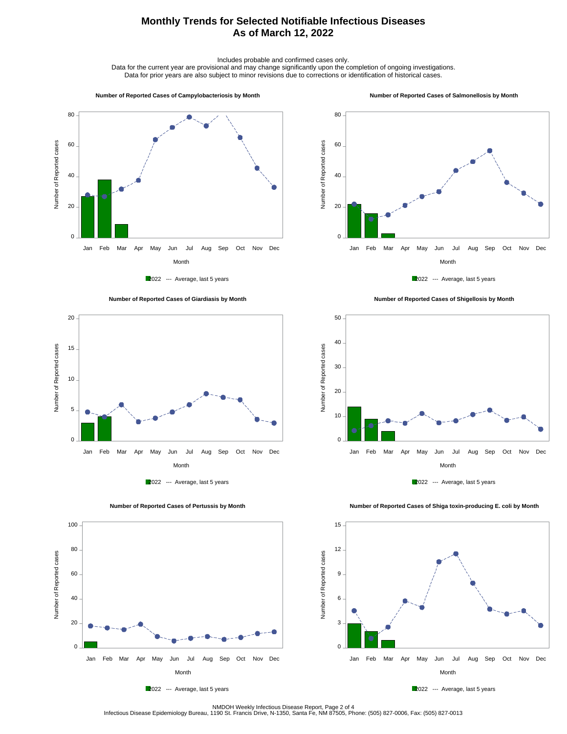## **Monthly Trends for Selected Notifiable Infectious Diseases As of March 12, 2022**

Includes probable and confirmed cases only.

Data for the current year are provisional and may change significantly upon the completion of ongoing investigations. Data for prior years are also subject to minor revisions due to corrections or identification of historical cases.

#### **Number of Reported Cases of Campylobacteriosis by Month**

#### **Number of Reported Cases of Salmonellosis by Month**











 **Number of Reported Cases of Shigellosis by Month**





Number of Reported cases

Number of Reported cases

 $0 -$ 

20

40

60

80

100

 **Number of Reported Cases of Shiga toxin-producing E. coli by Month**



2022 --- Average, last 5 years

Month Jan Feb Mar Apr May Jun Jul Aug Sep Oct Nov Dec



NMDOH Weekly Infectious Disease Report, Page 2 of 4<br>Infectious Disease Epidemiology Bureau, 1190 St. Francis Drive, N-1350, Santa Fe, NM 87505, Phone: (505) 827-0006, Fax: (505) 827-0013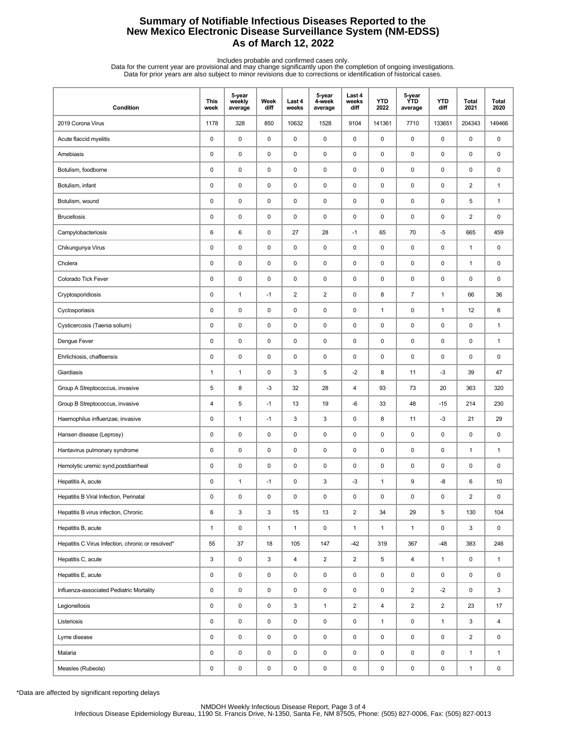## **Summary of Notifiable Infectious Diseases Reported to the New Mexico Electronic Disease Surveillance System (NM-EDSS) As of March 12, 2022**

Includes probable and confirmed cases only.<br>Data for the current year are provisional and may change significantly upon the completion of ongoing investigations.<br>Data for prior years are also subject to minor revisions due

| Condition                                         | <b>This</b><br>week | 5-year<br>weekly<br>average | Week<br>diff | Last 4<br>weeks | 5-year<br>4-week<br>average | Last 4<br>weeks<br>diff | <b>YTD</b><br>2022 | 5-year<br><b>YTD</b><br>average | <b>YTD</b><br>diff | <b>Total</b><br>2021    | <b>Total</b><br>2020 |
|---------------------------------------------------|---------------------|-----------------------------|--------------|-----------------|-----------------------------|-------------------------|--------------------|---------------------------------|--------------------|-------------------------|----------------------|
| 2019 Corona Virus                                 | 1178                | 328                         | 850          | 10632           | 1528                        | 9104                    | 141361             | 7710                            | 133651             | 204343                  | 149466               |
| Acute flaccid myelitis                            | 0                   | 0                           | 0            | 0               | 0                           | 0                       | $\pmb{0}$          | 0                               | 0                  | 0                       | 0                    |
| Amebiasis                                         | 0                   | 0                           | 0            | 0               | 0                           | $\mathbf 0$             | $\pmb{0}$          | 0                               | $\mathbf 0$        | $\pmb{0}$               | 0                    |
| Botulism, foodborne                               | 0                   | 0                           | 0            | 0               | $\pmb{0}$                   | $\pmb{0}$               | $\pmb{0}$          | 0                               | $\pmb{0}$          | 0                       | 0                    |
| Botulism, infant                                  | 0                   | 0                           | $\pmb{0}$    | 0               | 0                           | 0                       | $\pmb{0}$          | 0                               | $\pmb{0}$          | $\overline{\mathbf{c}}$ | $\mathbf{1}$         |
| Botulism, wound                                   | 0                   | $\mathsf 0$                 | 0            | 0               | $\pmb{0}$                   | $\mathbf 0$             | 0                  | 0                               | $\pmb{0}$          | 5                       | $\mathbf{1}$         |
| <b>Brucellosis</b>                                | 0                   | 0                           | 0            | 0               | 0                           | 0                       | $\pmb{0}$          | 0                               | 0                  | $\overline{2}$          | 0                    |
| Campylobacteriosis                                | 6                   | 6                           | 0            | 27              | 28                          | $-1$                    | 65                 | 70                              | $-5$               | 665                     | 459                  |
| Chikungunya Virus                                 | 0                   | 0                           | 0            | 0               | 0                           | $\mathbf 0$             | $\mathbf 0$        | 0                               | $\mathbf 0$        | 1                       | 0                    |
| Cholera                                           | 0                   | $\mathsf 0$                 | $\pmb{0}$    | 0               | 0                           | $\pmb{0}$               | $\pmb{0}$          | 0                               | $\pmb{0}$          | $\mathbf{1}$            | 0                    |
| Colorado Tick Fever                               | 0                   | 0                           | 0            | 0               | 0                           | $\pmb{0}$               | 0                  | 0                               | $\pmb{0}$          | 0                       | 0                    |
| Cryptosporidiosis                                 | 0                   | $\mathbf{1}$                | $-1$         | $\overline{c}$  | $\overline{2}$              | $\pmb{0}$               | 8                  | $\overline{7}$                  | $\mathbf{1}$       | 66                      | 36                   |
| Cyclosporiasis                                    | 0                   | 0                           | 0            | 0               | 0                           | $\mathbf 0$             | $\mathbf{1}$       | 0                               | $\mathbf{1}$       | 12                      | 6                    |
| Cysticercosis (Taenia solium)                     | 0                   | 0                           | 0            | 0               | 0                           | $\mathbf 0$             | $\pmb{0}$          | 0                               | $\pmb{0}$          | 0                       | $\mathbf{1}$         |
| Dengue Fever                                      | 0                   | 0                           | 0            | 0               | 0                           | 0                       | $\pmb{0}$          | 0                               | $\pmb{0}$          | 0                       | $\mathbf{1}$         |
| Ehrlichiosis, chaffeensis                         | 0                   | $\pmb{0}$                   | 0            | 0               | $\pmb{0}$                   | $\mathbf 0$             | 0                  | 0                               | $\pmb{0}$          | 0                       | 0                    |
| Giardiasis                                        | 1                   | $\mathbf{1}$                | 0            | 3               | 5                           | $-2$                    | 8                  | 11                              | $-3$               | 39                      | 47                   |
| Group A Streptococcus, invasive                   | 5                   | 8                           | $-3$         | 32              | 28                          | 4                       | 93                 | 73                              | 20                 | 363                     | 320                  |
| Group B Streptococcus, invasive                   | 4                   | 5                           | $-1$         | 13              | 19                          | -6                      | 33                 | 48                              | $-15$              | 214                     | 230                  |
| Haemophilus influenzae, invasive                  | 0                   | $\mathbf{1}$                | $-1$         | 3               | 3                           | 0                       | 8                  | 11                              | $-3$               | 21                      | 29                   |
| Hansen disease (Leprosy)                          | 0                   | 0                           | 0            | 0               | 0                           | $\mathbf 0$             | 0                  | 0                               | $\pmb{0}$          | 0                       | 0                    |
| Hantavirus pulmonary syndrome                     | 0                   | 0                           | 0            | 0               | 0                           | $\mathbf 0$             | 0                  | 0                               | 0                  | $\mathbf{1}$            | $\mathbf{1}$         |
| Hemolytic uremic synd, postdiarrheal              | 0                   | 0                           | 0            | 0               | 0                           | $\mathbf 0$             | $\pmb{0}$          | 0                               | $\mathbf 0$        | $\pmb{0}$               | 0                    |
| Hepatitis A, acute                                | 0                   | $\mathbf{1}$                | $-1$         | 0               | 3                           | $-3$                    | $\mathbf{1}$       | 9                               | -8                 | 6                       | 10                   |
| Hepatitis B Viral Infection, Perinatal            | 0                   | $\pmb{0}$                   | 0            | $\mathbf 0$     | $\pmb{0}$                   | 0                       | $\mathbf 0$        | 0                               | 0                  | $\overline{2}$          | $\pmb{0}$            |
| Hepatitis B virus infection, Chronic              | 6                   | 3                           | 3            | 15              | 13                          | $\overline{2}$          | 34                 | 29                              | 5                  | 130                     | 104                  |
| Hepatitis B, acute                                | $\mathbf{1}$        | $\pmb{0}$                   | $\mathbf{1}$ | $\mathbf{1}$    | $\mathsf 0$                 | $\mathbf{1}$            | $\mathbf{1}$       | $\mathbf{1}$                    | $\mathsf 0$        | 3                       | $\mathsf 0$          |
| Hepatitis C Virus Infection, chronic or resolved* | 55                  | $37\,$                      | 18           | 105             | 147                         | $-42$                   | 319                | 367                             | $-48$              | 383                     | 246                  |
| Hepatitis C, acute                                | 3                   | $\pmb{0}$                   | 3            | $\overline{4}$  | $\overline{2}$              | $\overline{2}$          | 5                  | 4                               | $\mathbf{1}$       | 0                       | $\mathbf{1}$         |
| Hepatitis E, acute                                | 0                   | $\pmb{0}$                   | 0            | 0               | $\pmb{0}$                   | $\mathsf 0$             | $\pmb{0}$          | 0                               | $\mathsf 0$        | 0                       | 0                    |
| Influenza-associated Pediatric Mortality          | 0                   | $\pmb{0}$                   | 0            | 0               | $\pmb{0}$                   | $\mathsf 0$             | $\pmb{0}$          | $\overline{\mathbf{c}}$         | $-2$               | 0                       | 3                    |
| Legionellosis                                     | 0                   | $\pmb{0}$                   | 0            | 3               | $\mathbf{1}$                | $\overline{2}$          | $\overline{4}$     | $\overline{c}$                  | $\overline{2}$     | 23                      | 17                   |
| Listeriosis                                       | 0                   | $\pmb{0}$                   | 0            | 0               | $\pmb{0}$                   | $\pmb{0}$               | $\mathbf{1}$       | 0                               | $\mathbf{1}$       | 3                       | 4                    |
| Lyme disease                                      | 0                   | $\pmb{0}$                   | 0            | 0               | $\pmb{0}$                   | 0                       | 0                  | 0                               | $\mathbf 0$        | $\overline{2}$          | $\mathbf 0$          |
| Malaria                                           | 0                   | $\pmb{0}$                   | 0            | 0               | $\pmb{0}$                   | $\pmb{0}$               | $\pmb{0}$          | 0                               | $\mathsf 0$        | $\mathbf{1}$            | $\mathbf{1}$         |
| Measles (Rubeola)                                 | 0                   | $\pmb{0}$                   | 0            | 0               | $\pmb{0}$                   | 0                       | 0                  | 0                               | 0                  | $\mathbf{1}$            | 0                    |

\*Data are affected by significant reporting delays